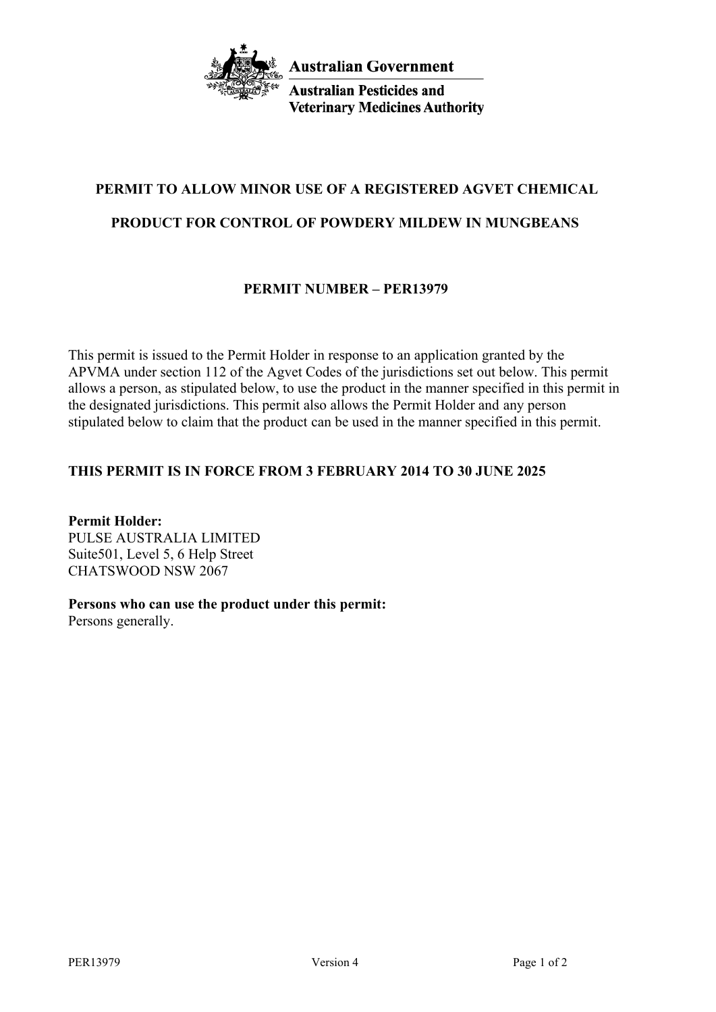

**Australian Pesticides and Veterinary Medicines Authority** 

# **PERMIT TO ALLOW MINOR USE OF A REGISTERED AGVET CHEMICAL**

# **PRODUCT FOR CONTROL OF POWDERY MILDEW IN MUNGBEANS**

# **PERMIT NUMBER – PER13979**

This permit is issued to the Permit Holder in response to an application granted by the APVMA under section 112 of the Agvet Codes of the jurisdictions set out below. This permit allows a person, as stipulated below, to use the product in the manner specified in this permit in the designated jurisdictions. This permit also allows the Permit Holder and any person stipulated below to claim that the product can be used in the manner specified in this permit.

## **THIS PERMIT IS IN FORCE FROM 3 FEBRUARY 2014 TO 30 JUNE 2025**

**Permit Holder:** PULSE AUSTRALIA LIMITED Suite501, Level 5, 6 Help Street CHATSWOOD NSW 2067

## **Persons who can use the product under this permit:**

Persons generally.